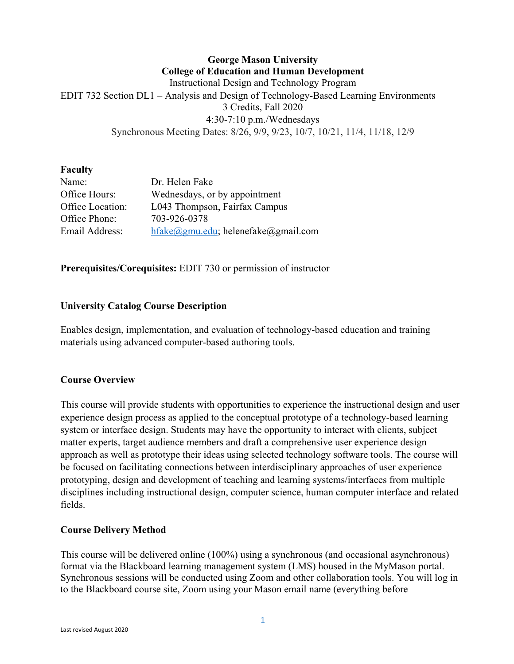## **George Mason University College of Education and Human Development** Instructional Design and Technology Program EDIT 732 Section DL1 – Analysis and Design of Technology-Based Learning Environments 3 Credits, Fall 2020 4:30-7:10 p.m./Wednesdays Synchronous Meeting Dates: 8/26, 9/9, 9/23, 10/7, 10/21, 11/4, 11/18, 12/9

#### **Faculty**

| Name:            | Dr. Helen Fake                                               |
|------------------|--------------------------------------------------------------|
| Office Hours:    | Wednesdays, or by appointment                                |
| Office Location: | L043 Thompson, Fairfax Campus                                |
| Office Phone:    | 703-926-0378                                                 |
| Email Address:   | $hfake(\partial gmu.edu)$ ; helenefake $(\partial gmu1.com)$ |

**Prerequisites/Corequisites:** EDIT 730 or permission of instructor

## **University Catalog Course Description**

Enables design, implementation, and evaluation of technology-based education and training materials using advanced computer-based authoring tools.

## **Course Overview**

This course will provide students with opportunities to experience the instructional design and user experience design process as applied to the conceptual prototype of a technology-based learning system or interface design. Students may have the opportunity to interact with clients, subject matter experts, target audience members and draft a comprehensive user experience design approach as well as prototype their ideas using selected technology software tools. The course will be focused on facilitating connections between interdisciplinary approaches of user experience prototyping, design and development of teaching and learning systems/interfaces from multiple disciplines including instructional design, computer science, human computer interface and related fields.

#### **Course Delivery Method**

This course will be delivered online (100%) using a synchronous (and occasional asynchronous) format via the Blackboard learning management system (LMS) housed in the MyMason portal. Synchronous sessions will be conducted using Zoom and other collaboration tools. You will log in to the Blackboard course site, Zoom using your Mason email name (everything before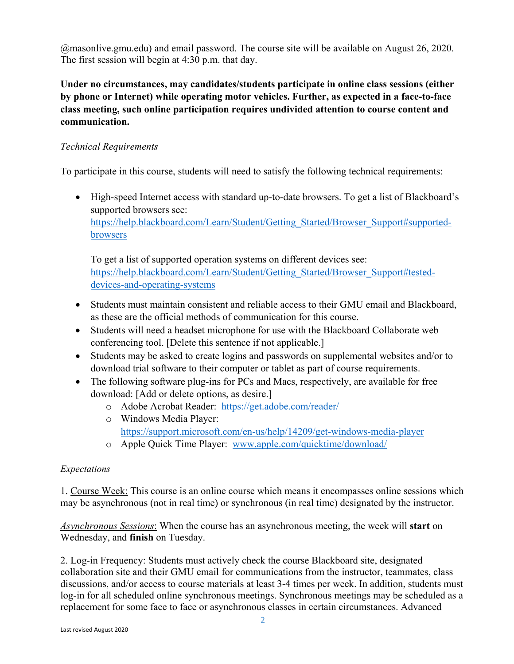@masonlive.gmu.edu) and email password. The course site will be available on August 26, 2020. The first session will begin at 4:30 p.m. that day.

**Under no circumstances, may candidates/students participate in online class sessions (either by phone or Internet) while operating motor vehicles. Further, as expected in a face-to-face class meeting, such online participation requires undivided attention to course content and communication.**

## *Technical Requirements*

To participate in this course, students will need to satisfy the following technical requirements:

• High-speed Internet access with standard up-to-date browsers. To get a list of Blackboard's supported browsers see: [https://help.blackboard.com/Learn/Student/Getting\\_Started/Browser\\_Support#supported](https://help.blackboard.com/Learn/Student/Getting_Started/Browser_Support#supported-browsers)[browsers](https://help.blackboard.com/Learn/Student/Getting_Started/Browser_Support#supported-browsers)

To get a list of supported operation systems on different devices see: [https://help.blackboard.com/Learn/Student/Getting\\_Started/Browser\\_Support#tested](https://help.blackboard.com/Learn/Student/Getting_Started/Browser_Support#tested-devices-and-operating-systems)[devices-and-operating-systems](https://help.blackboard.com/Learn/Student/Getting_Started/Browser_Support#tested-devices-and-operating-systems)

- Students must maintain consistent and reliable access to their GMU email and Blackboard, as these are the official methods of communication for this course.
- Students will need a headset microphone for use with the Blackboard Collaborate web conferencing tool. [Delete this sentence if not applicable.]
- Students may be asked to create logins and passwords on supplemental websites and/or to download trial software to their computer or tablet as part of course requirements.
- The following software plug-ins for PCs and Macs, respectively, are available for free download: [Add or delete options, as desire.]
	- o Adobe Acrobat Reader: <https://get.adobe.com/reader/>
	- o Windows Media Player: <https://support.microsoft.com/en-us/help/14209/get-windows-media-player>
	- o Apple Quick Time Player: [www.apple.com/quicktime/download/](http://www.apple.com/quicktime/download/)

## *Expectations*

1. Course Week: This course is an online course which means it encompasses online sessions which may be asynchronous (not in real time) or synchronous (in real time) designated by the instructor.

*Asynchronous Sessions*: When the course has an asynchronous meeting, the week will **start** on Wednesday, and **finish** on Tuesday.

2. Log-in Frequency: Students must actively check the course Blackboard site, designated collaboration site and their GMU email for communications from the instructor, teammates, class discussions, and/or access to course materials at least 3-4 times per week. In addition, students must log-in for all scheduled online synchronous meetings. Synchronous meetings may be scheduled as a replacement for some face to face or asynchronous classes in certain circumstances. Advanced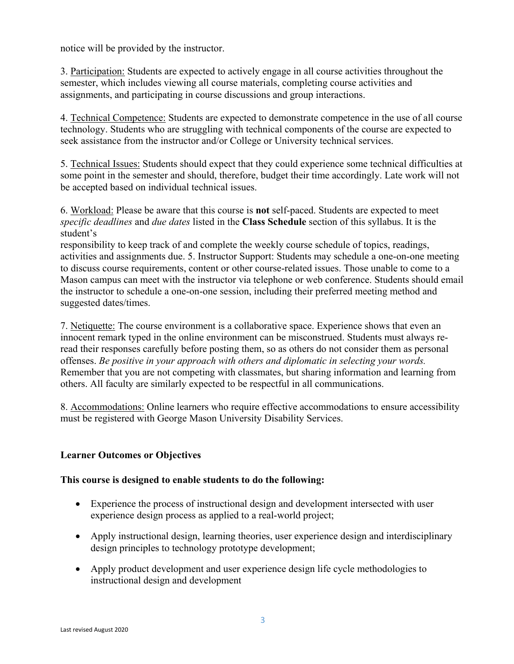notice will be provided by the instructor.

3. Participation: Students are expected to actively engage in all course activities throughout the semester, which includes viewing all course materials, completing course activities and assignments, and participating in course discussions and group interactions.

4. Technical Competence: Students are expected to demonstrate competence in the use of all course technology. Students who are struggling with technical components of the course are expected to seek assistance from the instructor and/or College or University technical services.

5. Technical Issues: Students should expect that they could experience some technical difficulties at some point in the semester and should, therefore, budget their time accordingly. Late work will not be accepted based on individual technical issues.

6. Workload: Please be aware that this course is **not** self-paced. Students are expected to meet *specific deadlines* and *due dates* listed in the **Class Schedule** section of this syllabus. It is the student's

responsibility to keep track of and complete the weekly course schedule of topics, readings, activities and assignments due. 5. Instructor Support: Students may schedule a one-on-one meeting to discuss course requirements, content or other course-related issues. Those unable to come to a Mason campus can meet with the instructor via telephone or web conference. Students should email the instructor to schedule a one-on-one session, including their preferred meeting method and suggested dates/times.

7. Netiquette: The course environment is a collaborative space. Experience shows that even an innocent remark typed in the online environment can be misconstrued. Students must always reread their responses carefully before posting them, so as others do not consider them as personal offenses. *Be positive in your approach with others and diplomatic in selecting your words.*  Remember that you are not competing with classmates, but sharing information and learning from others. All faculty are similarly expected to be respectful in all communications.

8. Accommodations: Online learners who require effective accommodations to ensure accessibility must be registered with George Mason University Disability Services.

## **Learner Outcomes or Objectives**

#### **This course is designed to enable students to do the following:**

- Experience the process of instructional design and development intersected with user experience design process as applied to a real-world project;
- Apply instructional design, learning theories, user experience design and interdisciplinary design principles to technology prototype development;
- Apply product development and user experience design life cycle methodologies to instructional design and development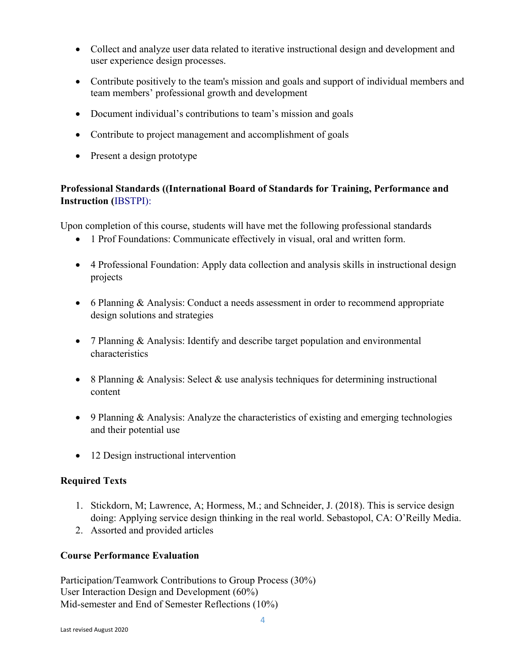- Collect and analyze user data related to iterative instructional design and development and user experience design processes.
- Contribute positively to the team's mission and goals and support of individual members and team members' professional growth and development
- Document individual's contributions to team's mission and goals
- Contribute to project management and accomplishment of goals
- Present a design prototype

# **Professional Standards ((International Board of Standards for Training, Performance and Instruction (**IBSTPI):

Upon completion of this course, students will have met the following professional standards

- 1 Prof Foundations: Communicate effectively in visual, oral and written form.
- 4 Professional Foundation: Apply data collection and analysis skills in instructional design projects
- 6 Planning & Analysis: Conduct a needs assessment in order to recommend appropriate design solutions and strategies
- 7 Planning & Analysis: Identify and describe target population and environmental characteristics
- 8 Planning & Analysis: Select & use analysis techniques for determining instructional content
- 9 Planning & Analysis: Analyze the characteristics of existing and emerging technologies and their potential use
- 12 Design instructional intervention

# **Required Texts**

- 1. Stickdorn, M; Lawrence, A; Hormess, M.; and Schneider, J. (2018). This is service design doing: Applying service design thinking in the real world. Sebastopol, CA: O'Reilly Media.
- 2. Assorted and provided articles

## **Course Performance Evaluation**

Participation/Teamwork Contributions to Group Process (30%) User Interaction Design and Development (60%) Mid-semester and End of Semester Reflections (10%)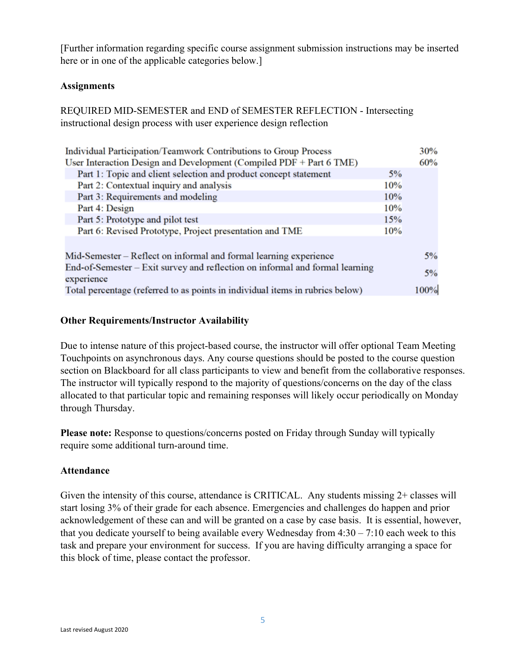[Further information regarding specific course assignment submission instructions may be inserted here or in one of the applicable categories below.]

### **Assignments**

REQUIRED MID-SEMESTER and END of SEMESTER REFLECTION - Intersecting instructional design process with user experience design reflection

| Individual Participation/Teamwork Contributions to Group Process              |     | 30%  |
|-------------------------------------------------------------------------------|-----|------|
| User Interaction Design and Development (Compiled PDF + Part 6 TME)           |     | 60%  |
| Part 1: Topic and client selection and product concept statement              | 5%  |      |
| Part 2: Contextual inquiry and analysis                                       | 10% |      |
| Part 3: Requirements and modeling                                             | 10% |      |
| Part 4: Design                                                                | 10% |      |
| Part 5: Prototype and pilot test                                              | 15% |      |
| Part 6: Revised Prototype, Project presentation and TME                       | 10% |      |
|                                                                               |     |      |
| Mid-Semester – Reflect on informal and formal learning experience             |     | 5%   |
| End-of-Semester – Exit survey and reflection on informal and formal learning  |     | 5%   |
| experience                                                                    |     |      |
| Total percentage (referred to as points in individual items in rubrics below) |     | 100% |

### **Other Requirements/Instructor Availability**

Due to intense nature of this project-based course, the instructor will offer optional Team Meeting Touchpoints on asynchronous days. Any course questions should be posted to the course question section on Blackboard for all class participants to view and benefit from the collaborative responses. The instructor will typically respond to the majority of questions/concerns on the day of the class allocated to that particular topic and remaining responses will likely occur periodically on Monday through Thursday.

**Please note:** Response to questions/concerns posted on Friday through Sunday will typically require some additional turn-around time.

#### **Attendance**

Given the intensity of this course, attendance is CRITICAL. Any students missing 2+ classes will start losing 3% of their grade for each absence. Emergencies and challenges do happen and prior acknowledgement of these can and will be granted on a case by case basis. It is essential, however, that you dedicate yourself to being available every Wednesday from  $4:30 - 7:10$  each week to this task and prepare your environment for success. If you are having difficulty arranging a space for this block of time, please contact the professor.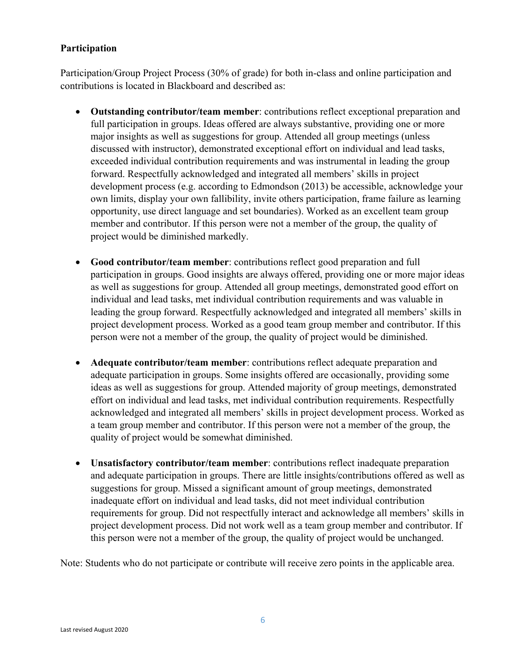## **Participation**

Participation/Group Project Process (30% of grade) for both in-class and online participation and contributions is located in Blackboard and described as:

- **Outstanding contributor/team member**: contributions reflect exceptional preparation and full participation in groups. Ideas offered are always substantive, providing one or more major insights as well as suggestions for group. Attended all group meetings (unless discussed with instructor), demonstrated exceptional effort on individual and lead tasks, exceeded individual contribution requirements and was instrumental in leading the group forward. Respectfully acknowledged and integrated all members' skills in project development process (e.g. according to Edmondson (2013) be accessible, acknowledge your own limits, display your own fallibility, invite others participation, frame failure as learning opportunity, use direct language and set boundaries). Worked as an excellent team group member and contributor. If this person were not a member of the group, the quality of project would be diminished markedly.
- **Good contributor/team member**: contributions reflect good preparation and full participation in groups. Good insights are always offered, providing one or more major ideas as well as suggestions for group. Attended all group meetings, demonstrated good effort on individual and lead tasks, met individual contribution requirements and was valuable in leading the group forward. Respectfully acknowledged and integrated all members' skills in project development process. Worked as a good team group member and contributor. If this person were not a member of the group, the quality of project would be diminished.
- **Adequate contributor/team member**: contributions reflect adequate preparation and adequate participation in groups. Some insights offered are occasionally, providing some ideas as well as suggestions for group. Attended majority of group meetings, demonstrated effort on individual and lead tasks, met individual contribution requirements. Respectfully acknowledged and integrated all members' skills in project development process. Worked as a team group member and contributor. If this person were not a member of the group, the quality of project would be somewhat diminished.
- **Unsatisfactory contributor/team member**: contributions reflect inadequate preparation and adequate participation in groups. There are little insights/contributions offered as well as suggestions for group. Missed a significant amount of group meetings, demonstrated inadequate effort on individual and lead tasks, did not meet individual contribution requirements for group. Did not respectfully interact and acknowledge all members' skills in project development process. Did not work well as a team group member and contributor. If this person were not a member of the group, the quality of project would be unchanged.

Note: Students who do not participate or contribute will receive zero points in the applicable area.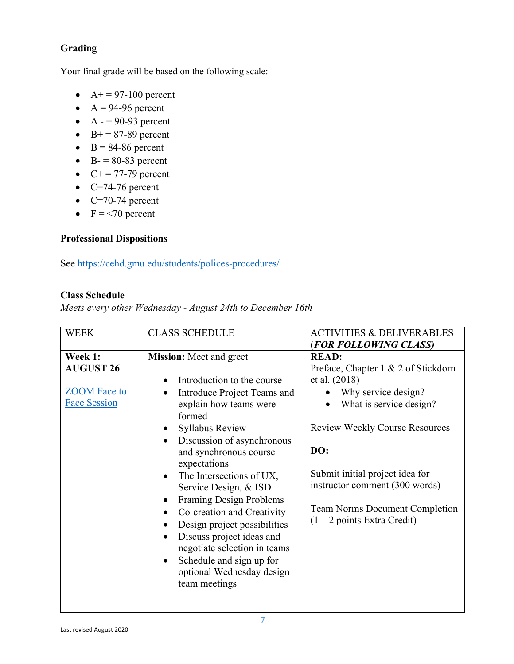# **Grading**

Your final grade will be based on the following scale:

- $A+ = 97-100$  percent
- $A = 94-96$  percent
- $A = 90-93$  percent
- B+ =  $87-89$  percent
- $B = 84-86$  percent
- $\bullet$  B- = 80-83 percent
- $C+ = 77-79$  percent
- $C=74-76$  percent
- $\bullet$  C=70-74 percent
- $F = 70$  percent

# **Professional Dispositions**

See<https://cehd.gmu.edu/students/polices-procedures/>

### **Class Schedule**

*Meets every other Wednesday - August 24th to December 16th*

| <b>WEEK</b>         | <b>CLASS SCHEDULE</b>                       | <b>ACTIVITIES &amp; DELIVERABLES</b>  |
|---------------------|---------------------------------------------|---------------------------------------|
|                     |                                             | (FOR FOLLOWING CLASS)                 |
| Week 1:             | <b>Mission:</b> Meet and greet              | <b>READ:</b>                          |
| <b>AUGUST 26</b>    |                                             | Preface, Chapter 1 & 2 of Stickdorn   |
|                     | Introduction to the course<br>$\bullet$     | et al. (2018)                         |
| <b>ZOOM</b> Face to | Introduce Project Teams and<br>$\bullet$    | Why service design?                   |
| <b>Face Session</b> | explain how teams were                      | What is service design?<br>$\bullet$  |
|                     | formed                                      |                                       |
|                     | <b>Syllabus Review</b><br>$\bullet$         | <b>Review Weekly Course Resources</b> |
|                     | Discussion of asynchronous<br>$\bullet$     |                                       |
|                     | and synchronous course                      | DO:                                   |
|                     | expectations                                |                                       |
|                     | The Intersections of UX,<br>$\bullet$       | Submit initial project idea for       |
|                     | Service Design, & ISD                       | instructor comment (300 words)        |
|                     | <b>Framing Design Problems</b><br>$\bullet$ |                                       |
|                     | Co-creation and Creativity<br>$\bullet$     | <b>Team Norms Document Completion</b> |
|                     | Design project possibilities<br>$\bullet$   | (1 – 2 points Extra Credit)           |
|                     | Discuss project ideas and<br>$\bullet$      |                                       |
|                     | negotiate selection in teams                |                                       |
|                     | Schedule and sign up for<br>$\bullet$       |                                       |
|                     | optional Wednesday design                   |                                       |
|                     | team meetings                               |                                       |
|                     |                                             |                                       |
|                     |                                             |                                       |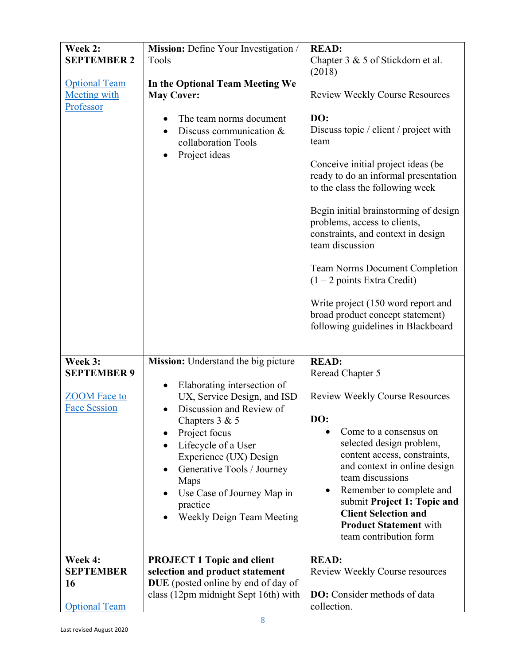| Week 2:<br><b>SEPTEMBER 2</b><br><b>Optional Team</b><br><b>Meeting with</b><br>Professor | Mission: Define Your Investigation /<br>Tools<br>In the Optional Team Meeting We<br><b>May Cover:</b><br>The team norms document<br>Discuss communication &<br>collaboration Tools<br>Project ideas                                                                                                                                                                            | <b>READ:</b><br>Chapter $3 \& 5$ of Stickdorn et al.<br>(2018)<br><b>Review Weekly Course Resources</b><br>DO:<br>Discuss topic / client / project with<br>team<br>Conceive initial project ideas (be<br>ready to do an informal presentation<br>to the class the following week<br>Begin initial brainstorming of design<br>problems, access to clients,<br>constraints, and context in design<br>team discussion<br><b>Team Norms Document Completion</b><br>(1 – 2 points Extra Credit)<br>Write project (150 word report and<br>broad product concept statement)<br>following guidelines in Blackboard |
|-------------------------------------------------------------------------------------------|--------------------------------------------------------------------------------------------------------------------------------------------------------------------------------------------------------------------------------------------------------------------------------------------------------------------------------------------------------------------------------|------------------------------------------------------------------------------------------------------------------------------------------------------------------------------------------------------------------------------------------------------------------------------------------------------------------------------------------------------------------------------------------------------------------------------------------------------------------------------------------------------------------------------------------------------------------------------------------------------------|
| Week 3:<br><b>SEPTEMBER 9</b><br><b>ZOOM</b> Face to<br><b>Face Session</b>               | Mission: Understand the big picture<br>Elaborating intersection of<br>$\bullet$<br>UX, Service Design, and ISD<br>Discussion and Review of<br>$\bullet$<br>Chapters $3 & 5$<br>Project focus<br>Lifecycle of a User<br>Experience (UX) Design<br>Generative Tools / Journey<br>$\bullet$<br>Maps<br>Use Case of Journey Map in<br>practice<br><b>Weekly Deign Team Meeting</b> | <b>READ:</b><br>Reread Chapter 5<br><b>Review Weekly Course Resources</b><br>DO:<br>Come to a consensus on<br>selected design problem,<br>content access, constraints,<br>and context in online design<br>team discussions<br>Remember to complete and<br>$\bullet$<br>submit Project 1: Topic and<br><b>Client Selection and</b><br><b>Product Statement with</b><br>team contribution form                                                                                                                                                                                                               |
| Week 4:<br><b>SEPTEMBER</b><br>16<br><b>Optional Team</b>                                 | <b>PROJECT 1 Topic and client</b><br>selection and product statement<br>DUE (posted online by end of day of<br>class (12pm midnight Sept 16th) with                                                                                                                                                                                                                            | <b>READ:</b><br>Review Weekly Course resources<br><b>DO:</b> Consider methods of data<br>collection.                                                                                                                                                                                                                                                                                                                                                                                                                                                                                                       |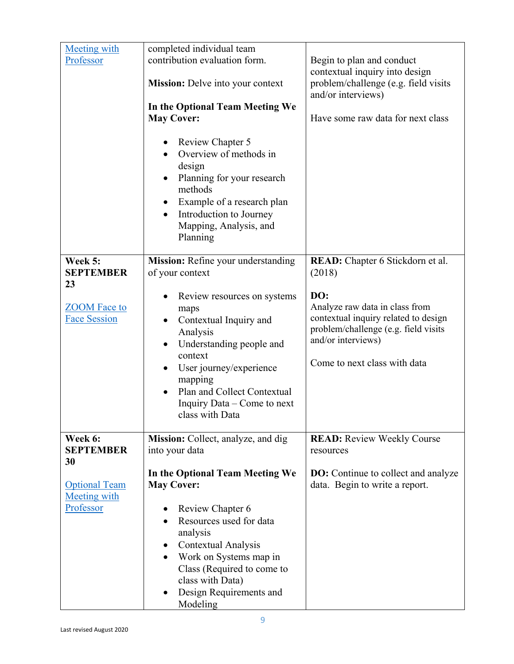| <b>Meeting with</b>                         | completed individual team                                                                                                                                                                                                     |                                                                                              |
|---------------------------------------------|-------------------------------------------------------------------------------------------------------------------------------------------------------------------------------------------------------------------------------|----------------------------------------------------------------------------------------------|
| Professor                                   | contribution evaluation form.                                                                                                                                                                                                 | Begin to plan and conduct                                                                    |
|                                             | <b>Mission:</b> Delve into your context                                                                                                                                                                                       | contextual inquiry into design<br>problem/challenge (e.g. field visits<br>and/or interviews) |
|                                             | In the Optional Team Meeting We                                                                                                                                                                                               |                                                                                              |
|                                             | <b>May Cover:</b>                                                                                                                                                                                                             | Have some raw data for next class                                                            |
|                                             |                                                                                                                                                                                                                               |                                                                                              |
|                                             | <b>Review Chapter 5</b><br>Overview of methods in<br>$\bullet$<br>design<br>Planning for your research<br>methods<br>Example of a research plan<br>Introduction to Journey<br>$\bullet$<br>Mapping, Analysis, and<br>Planning |                                                                                              |
|                                             |                                                                                                                                                                                                                               |                                                                                              |
| Week 5:<br><b>SEPTEMBER</b><br>23           | Mission: Refine your understanding<br>of your context                                                                                                                                                                         | READ: Chapter 6 Stickdorn et al.<br>(2018)                                                   |
|                                             | Review resources on systems                                                                                                                                                                                                   | DO:                                                                                          |
| <b>ZOOM</b> Face to                         | maps                                                                                                                                                                                                                          | Analyze raw data in class from                                                               |
| <b>Face Session</b>                         | Contextual Inquiry and<br>$\bullet$                                                                                                                                                                                           | contextual inquiry related to design                                                         |
|                                             | Analysis                                                                                                                                                                                                                      | problem/challenge (e.g. field visits                                                         |
|                                             | Understanding people and                                                                                                                                                                                                      | and/or interviews)                                                                           |
|                                             | context                                                                                                                                                                                                                       | Come to next class with data                                                                 |
|                                             | User journey/experience                                                                                                                                                                                                       |                                                                                              |
|                                             | mapping<br>Plan and Collect Contextual<br>$\bullet$                                                                                                                                                                           |                                                                                              |
|                                             | Inquiry Data – Come to next                                                                                                                                                                                                   |                                                                                              |
|                                             | class with Data                                                                                                                                                                                                               |                                                                                              |
|                                             |                                                                                                                                                                                                                               |                                                                                              |
| Week 6:                                     | Mission: Collect, analyze, and dig                                                                                                                                                                                            | <b>READ:</b> Review Weekly Course                                                            |
| <b>SEPTEMBER</b>                            | into your data                                                                                                                                                                                                                | resources                                                                                    |
| 30                                          |                                                                                                                                                                                                                               |                                                                                              |
|                                             | In the Optional Team Meeting We                                                                                                                                                                                               | <b>DO:</b> Continue to collect and analyze<br>data. Begin to write a report.                 |
| <b>Optional Team</b><br><b>Meeting with</b> | <b>May Cover:</b>                                                                                                                                                                                                             |                                                                                              |
| Professor                                   | Review Chapter 6                                                                                                                                                                                                              |                                                                                              |
|                                             | Resources used for data<br>$\bullet$                                                                                                                                                                                          |                                                                                              |
|                                             | analysis                                                                                                                                                                                                                      |                                                                                              |
|                                             | Contextual Analysis<br>$\bullet$                                                                                                                                                                                              |                                                                                              |
|                                             | Work on Systems map in                                                                                                                                                                                                        |                                                                                              |
|                                             | Class (Required to come to                                                                                                                                                                                                    |                                                                                              |
|                                             | class with Data)                                                                                                                                                                                                              |                                                                                              |
|                                             | Design Requirements and<br>$\bullet$<br>Modeling                                                                                                                                                                              |                                                                                              |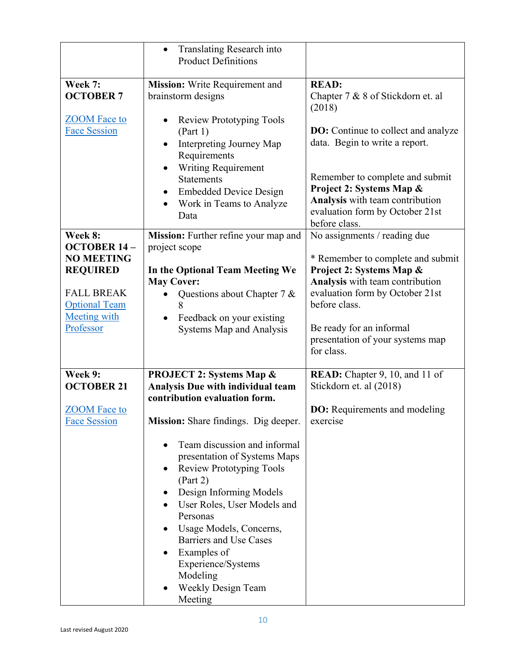|                                                                                                                                                        | Translating Research into<br>$\bullet$<br><b>Product Definitions</b>                                                                                                                                                                                                                                                                                                                                                                                                                       |                                                                                                                                                                                                                                                                    |
|--------------------------------------------------------------------------------------------------------------------------------------------------------|--------------------------------------------------------------------------------------------------------------------------------------------------------------------------------------------------------------------------------------------------------------------------------------------------------------------------------------------------------------------------------------------------------------------------------------------------------------------------------------------|--------------------------------------------------------------------------------------------------------------------------------------------------------------------------------------------------------------------------------------------------------------------|
| Week 7:<br><b>OCTOBER 7</b><br><b>ZOOM</b> Face to<br><b>Face Session</b>                                                                              | Mission: Write Requirement and<br>brainstorm designs<br><b>Review Prototyping Tools</b><br>(Part 1)<br>Interpreting Journey Map<br>$\bullet$<br>Requirements<br><b>Writing Requirement</b><br>$\bullet$<br><b>Statements</b>                                                                                                                                                                                                                                                               | <b>READ:</b><br>Chapter 7 & 8 of Stickdorn et. al<br>(2018)<br><b>DO:</b> Continue to collect and analyze<br>data. Begin to write a report.<br>Remember to complete and submit                                                                                     |
|                                                                                                                                                        | <b>Embedded Device Design</b><br>$\bullet$<br>Work in Teams to Analyze<br>Data                                                                                                                                                                                                                                                                                                                                                                                                             | Project 2: Systems Map &<br>Analysis with team contribution<br>evaluation form by October 21st<br>before class.                                                                                                                                                    |
| Week 8:<br><b>OCTOBER 14-</b><br><b>NO MEETING</b><br><b>REQUIRED</b><br><b>FALL BREAK</b><br><b>Optional Team</b><br><b>Meeting with</b><br>Professor | Mission: Further refine your map and<br>project scope<br>In the Optional Team Meeting We<br><b>May Cover:</b><br>Questions about Chapter 7 &<br>8<br>Feedback on your existing<br>Systems Map and Analysis                                                                                                                                                                                                                                                                                 | No assignments / reading due<br>* Remember to complete and submit<br>Project 2: Systems Map &<br>Analysis with team contribution<br>evaluation form by October 21st<br>before class.<br>Be ready for an informal<br>presentation of your systems map<br>for class. |
| Week 9:<br><b>OCTOBER 21</b><br><b>ZOOM</b> Face to<br><b>Face Session</b>                                                                             | <b>PROJECT 2: Systems Map &amp;</b><br>Analysis Due with individual team<br>contribution evaluation form.<br>Mission: Share findings. Dig deeper.<br>Team discussion and informal<br>presentation of Systems Maps<br><b>Review Prototyping Tools</b><br>$\bullet$<br>(Part 2)<br>Design Informing Models<br>User Roles, User Models and<br>Personas<br>Usage Models, Concerns,<br>Barriers and Use Cases<br>Examples of<br>Experience/Systems<br>Modeling<br>Weekly Design Team<br>Meeting | READ: Chapter 9, 10, and 11 of<br>Stickdorn et. al (2018)<br><b>DO:</b> Requirements and modeling<br>exercise                                                                                                                                                      |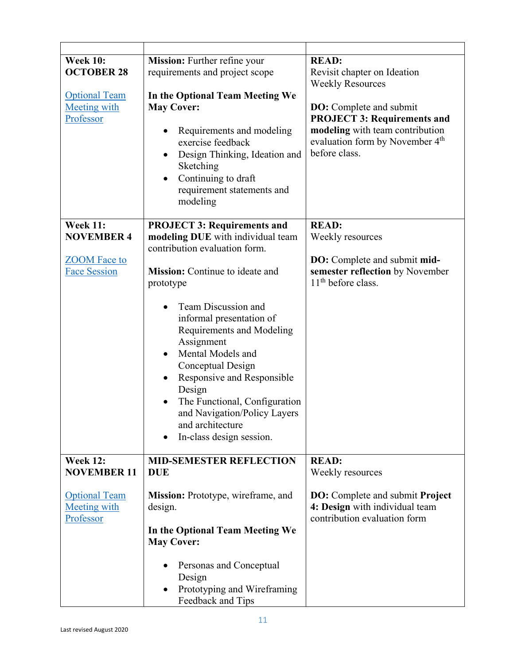| <b>Week 10:</b><br><b>OCTOBER 28</b><br><b>Optional Team</b><br><b>Meeting with</b><br>Professor | Mission: Further refine your<br>requirements and project scope<br>In the Optional Team Meeting We<br><b>May Cover:</b><br>Requirements and modeling<br>$\bullet$<br>exercise feedback<br>Design Thinking, Ideation and<br>$\bullet$<br>Sketching<br>Continuing to draft<br>requirement statements and<br>modeling                                                       | <b>READ:</b><br>Revisit chapter on Ideation<br><b>Weekly Resources</b><br><b>DO:</b> Complete and submit<br><b>PROJECT 3: Requirements and</b><br>modeling with team contribution<br>evaluation form by November 4th<br>before class. |
|--------------------------------------------------------------------------------------------------|-------------------------------------------------------------------------------------------------------------------------------------------------------------------------------------------------------------------------------------------------------------------------------------------------------------------------------------------------------------------------|---------------------------------------------------------------------------------------------------------------------------------------------------------------------------------------------------------------------------------------|
| <b>Week 11:</b>                                                                                  | <b>PROJECT 3: Requirements and</b>                                                                                                                                                                                                                                                                                                                                      | <b>READ:</b>                                                                                                                                                                                                                          |
| <b>NOVEMBER 4</b>                                                                                | modeling DUE with individual team<br>contribution evaluation form.                                                                                                                                                                                                                                                                                                      | Weekly resources                                                                                                                                                                                                                      |
| <b>ZOOM</b> Face to<br><b>Face Session</b>                                                       | Mission: Continue to ideate and<br>prototype<br>Team Discussion and<br>informal presentation of<br>Requirements and Modeling<br>Assignment<br>Mental Models and<br>$\bullet$<br>Conceptual Design<br>Responsive and Responsible<br>Design<br>The Functional, Configuration<br>$\bullet$<br>and Navigation/Policy Layers<br>and architecture<br>In-class design session. | <b>DO:</b> Complete and submit mid-<br>semester reflection by November<br>$11th$ before class.                                                                                                                                        |
| <b>Week 12:</b>                                                                                  | <b>MID-SEMESTER REFLECTION</b>                                                                                                                                                                                                                                                                                                                                          | <b>READ:</b>                                                                                                                                                                                                                          |
| <b>NOVEMBER 11</b>                                                                               | <b>DUE</b>                                                                                                                                                                                                                                                                                                                                                              | Weekly resources                                                                                                                                                                                                                      |
| <b>Optional Team</b><br><b>Meeting with</b><br>Professor                                         | Mission: Prototype, wireframe, and<br>design.<br>In the Optional Team Meeting We<br><b>May Cover:</b><br>Personas and Conceptual                                                                                                                                                                                                                                        | <b>DO:</b> Complete and submit <b>Project</b><br>4: Design with individual team<br>contribution evaluation form                                                                                                                       |
|                                                                                                  | Design<br>Prototyping and Wireframing<br>Feedback and Tips                                                                                                                                                                                                                                                                                                              |                                                                                                                                                                                                                                       |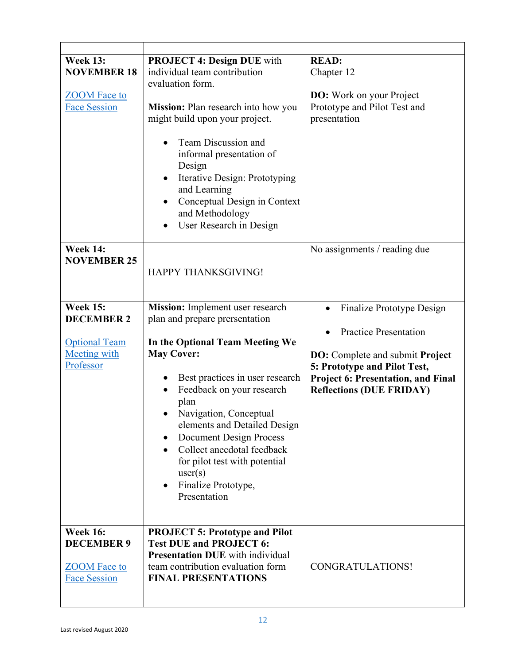| <b>Week 13:</b>      | <b>PROJECT 4: Design DUE with</b>                         | <b>READ:</b>                                  |
|----------------------|-----------------------------------------------------------|-----------------------------------------------|
| <b>NOVEMBER 18</b>   | individual team contribution                              | Chapter 12                                    |
|                      | evaluation form.                                          |                                               |
| <b>ZOOM</b> Face to  |                                                           | <b>DO:</b> Work on your Project               |
| <b>Face Session</b>  | Mission: Plan research into how you                       | Prototype and Pilot Test and                  |
|                      | might build upon your project.                            | presentation                                  |
|                      |                                                           |                                               |
|                      | Team Discussion and<br>informal presentation of<br>Design |                                               |
|                      | Iterative Design: Prototyping                             |                                               |
|                      | and Learning                                              |                                               |
|                      | Conceptual Design in Context                              |                                               |
|                      | and Methodology                                           |                                               |
|                      | User Research in Design                                   |                                               |
|                      |                                                           |                                               |
| <b>Week 14:</b>      |                                                           |                                               |
|                      |                                                           | No assignments / reading due                  |
| <b>NOVEMBER 25</b>   |                                                           |                                               |
|                      | <b>HAPPY THANKSGIVING!</b>                                |                                               |
|                      |                                                           |                                               |
|                      |                                                           |                                               |
| <b>Week 15:</b>      | Mission: Implement user research                          | Finalize Prototype Design                     |
| <b>DECEMBER 2</b>    | plan and prepare prersentation                            |                                               |
|                      |                                                           | <b>Practice Presentation</b>                  |
| <b>Optional Team</b> | In the Optional Team Meeting We                           |                                               |
| <b>Meeting with</b>  | <b>May Cover:</b>                                         | <b>DO:</b> Complete and submit <b>Project</b> |
| Professor            |                                                           | 5: Prototype and Pilot Test,                  |
|                      | Best practices in user research                           |                                               |
|                      |                                                           | <b>Project 6: Presentation, and Final</b>     |
|                      | Feedback on your research                                 | <b>Reflections (DUE FRIDAY)</b>               |
|                      | plan                                                      |                                               |
|                      | Navigation, Conceptual                                    |                                               |
|                      | elements and Detailed Design                              |                                               |
|                      | <b>Document Design Process</b><br>$\bullet$               |                                               |
|                      | Collect anecdotal feedback<br>$\bullet$                   |                                               |
|                      | for pilot test with potential                             |                                               |
|                      |                                                           |                                               |
|                      | user(s)                                                   |                                               |
|                      | Finalize Prototype,<br>٠                                  |                                               |
|                      | Presentation                                              |                                               |
|                      |                                                           |                                               |
|                      |                                                           |                                               |
| <b>Week 16:</b>      | <b>PROJECT 5: Prototype and Pilot</b>                     |                                               |
| <b>DECEMBER 9</b>    | <b>Test DUE and PROJECT 6:</b>                            |                                               |
|                      | <b>Presentation DUE</b> with individual                   |                                               |
| <b>ZOOM</b> Face to  | team contribution evaluation form                         | CONGRATULATIONS!                              |
| <b>Face Session</b>  | <b>FINAL PRESENTATIONS</b>                                |                                               |
|                      |                                                           |                                               |
|                      |                                                           |                                               |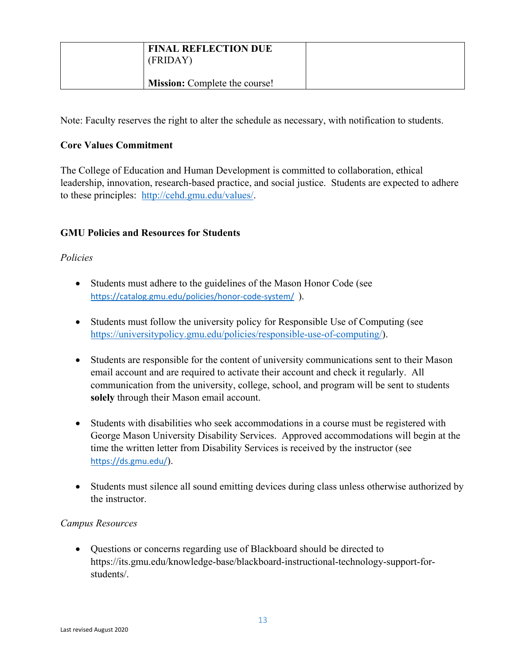| <b>FINAL REFLECTION DUE</b><br>(FRIDAY) |  |
|-----------------------------------------|--|
| <b>Mission:</b> Complete the course!    |  |

Note: Faculty reserves the right to alter the schedule as necessary, with notification to students.

# **Core Values Commitment**

The College of Education and Human Development is committed to collaboration, ethical leadership, innovation, research-based practice, and social justice. Students are expected to adhere to these principles: [http://cehd.gmu.edu/values/.](http://cehd.gmu.edu/values/)

# **GMU Policies and Resources for Students**

## *Policies*

- Students must adhere to the guidelines of the Mason Honor Code (see <https://catalog.gmu.edu/policies/honor-code-system/>).
- Students must follow the university policy for Responsible Use of Computing (see [https://universitypolicy.gmu.edu/policies/responsible-use-of-computing/\)](https://universitypolicy.gmu.edu/policies/responsible-use-of-computing/).
- Students are responsible for the content of university communications sent to their Mason email account and are required to activate their account and check it regularly. All communication from the university, college, school, and program will be sent to students **solely** through their Mason email account.
- Students with disabilities who seek accommodations in a course must be registered with George Mason University Disability Services. Approved accommodations will begin at the time the written letter from Disability Services is received by the instructor (see <https://ds.gmu.edu/>).
- Students must silence all sound emitting devices during class unless otherwise authorized by the instructor.

## *Campus Resources*

• Questions or concerns regarding use of Blackboard should be directed to https://its.gmu.edu/knowledge-base/blackboard-instructional-technology-support-forstudents/.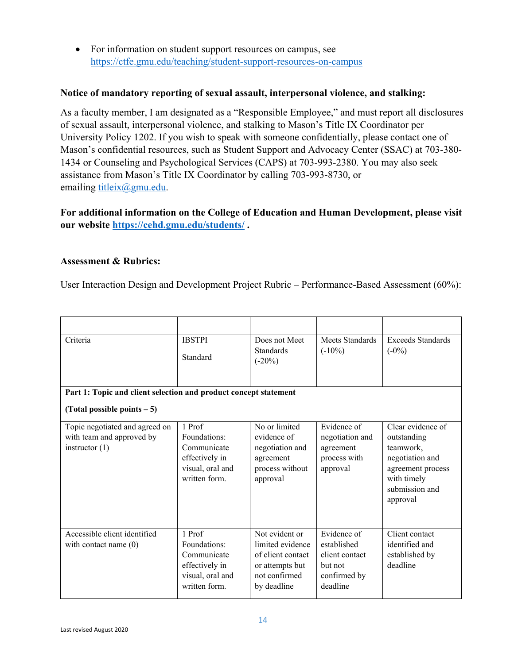• For information on student support resources on campus, see <https://ctfe.gmu.edu/teaching/student-support-resources-on-campus>

#### **Notice of mandatory reporting of sexual assault, interpersonal violence, and stalking:**

As a faculty member, I am designated as a "Responsible Employee," and must report all disclosures of sexual assault, interpersonal violence, and stalking to Mason's Title IX Coordinator per University Policy 1202. If you wish to speak with someone confidentially, please contact one of Mason's confidential resources, such as Student Support and Advocacy Center (SSAC) at 703-380- 1434 or Counseling and Psychological Services (CAPS) at 703-993-2380. You may also seek assistance from Mason's Title IX Coordinator by calling 703-993-8730, or emailing [titleix@gmu.edu.](mailto:titleix@gmu.edu)

**For additional information on the College of Education and Human Development, please visit our website<https://cehd.gmu.edu/students/> .**

### **Assessment & Rubrics:**

User Interaction Design and Development Project Rubric – Performance-Based Assessment (60%):

| Criteria                                                                        | <b>IBSTPI</b><br>Standard                                                                    | Does not Meet<br><b>Standards</b><br>$(-20\%)$                                                             | <b>Meets Standards</b><br>$(-10\%)$                                                 | <b>Exceeds Standards</b><br>$(-0\%)$                                                                                               |
|---------------------------------------------------------------------------------|----------------------------------------------------------------------------------------------|------------------------------------------------------------------------------------------------------------|-------------------------------------------------------------------------------------|------------------------------------------------------------------------------------------------------------------------------------|
| Part 1: Topic and client selection and product concept statement                |                                                                                              |                                                                                                            |                                                                                     |                                                                                                                                    |
| (Total possible points $-5$ )                                                   |                                                                                              |                                                                                                            |                                                                                     |                                                                                                                                    |
| Topic negotiated and agreed on<br>with team and approved by<br>instructor $(1)$ | 1 Prof<br>Foundations:<br>Communicate<br>effectively in<br>visual, oral and<br>written form. | No or limited<br>evidence of<br>negotiation and<br>agreement<br>process without<br>approval                | Evidence of<br>negotiation and<br>agreement<br>process with<br>approval             | Clear evidence of<br>outstanding<br>teamwork,<br>negotiation and<br>agreement process<br>with timely<br>submission and<br>approval |
| Accessible client identified<br>with contact name $(0)$                         | 1 Prof<br>Foundations:<br>Communicate<br>effectively in<br>visual, oral and<br>written form. | Not evident or<br>limited evidence<br>of client contact<br>or attempts but<br>not confirmed<br>by deadline | Evidence of<br>established<br>client contact<br>but not<br>confirmed by<br>deadline | Client contact<br>identified and<br>established by<br>deadline                                                                     |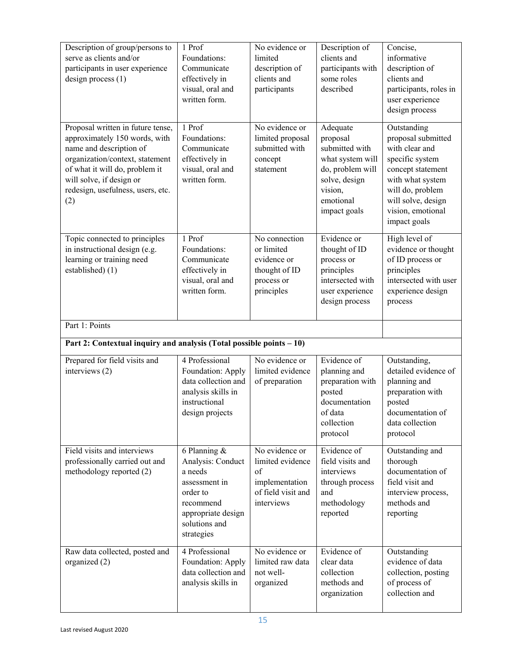| Description of group/persons to<br>serve as clients and/or<br>participants in user experience<br>design process $(1)$                                                                                                                      | 1 Prof<br>Foundations:<br>Communicate<br>effectively in<br>visual, oral and<br>written form.                                                  | No evidence or<br>limited<br>description of<br>clients and<br>participants                     | Description of<br>clients and<br>participants with<br>some roles<br>described                                                           | Concise,<br>informative<br>description of<br>clients and<br>participants, roles in<br>user experience<br>design process                                                                        |
|--------------------------------------------------------------------------------------------------------------------------------------------------------------------------------------------------------------------------------------------|-----------------------------------------------------------------------------------------------------------------------------------------------|------------------------------------------------------------------------------------------------|-----------------------------------------------------------------------------------------------------------------------------------------|------------------------------------------------------------------------------------------------------------------------------------------------------------------------------------------------|
| Proposal written in future tense,<br>approximately 150 words, with<br>name and description of<br>organization/context, statement<br>of what it will do, problem it<br>will solve, if design or<br>redesign, usefulness, users, etc.<br>(2) | 1 Prof<br>Foundations:<br>Communicate<br>effectively in<br>visual, oral and<br>written form.                                                  | No evidence or<br>limited proposal<br>submitted with<br>concept<br>statement                   | Adequate<br>proposal<br>submitted with<br>what system will<br>do, problem will<br>solve, design<br>vision,<br>emotional<br>impact goals | Outstanding<br>proposal submitted<br>with clear and<br>specific system<br>concept statement<br>with what system<br>will do, problem<br>will solve, design<br>vision, emotional<br>impact goals |
| Topic connected to principles<br>in instructional design (e.g.<br>learning or training need<br>established) (1)                                                                                                                            | 1 Prof<br>Foundations:<br>Communicate<br>effectively in<br>visual, oral and<br>written form.                                                  | No connection<br>or limited<br>evidence or<br>thought of ID<br>process or<br>principles        | Evidence or<br>thought of ID<br>process or<br>principles<br>intersected with<br>user experience<br>design process                       | High level of<br>evidence or thought<br>of ID process or<br>principles<br>intersected with user<br>experience design<br>process                                                                |
| Part 1: Points                                                                                                                                                                                                                             |                                                                                                                                               |                                                                                                |                                                                                                                                         |                                                                                                                                                                                                |
| Part 2: Contextual inquiry and analysis (Total possible points - 10)                                                                                                                                                                       |                                                                                                                                               |                                                                                                |                                                                                                                                         |                                                                                                                                                                                                |
| Prepared for field visits and<br>interviews (2)                                                                                                                                                                                            | 4 Professional<br>Foundation: Apply<br>data collection and<br>analysis skills in<br>instructional<br>design projects                          | No evidence or<br>limited evidence<br>of preparation                                           | Evidence of<br>planning and<br>preparation with<br>posted<br>documentation<br>of data<br>collection<br>protocol                         | Outstanding,<br>detailed evidence of<br>planning and<br>preparation with<br>posted<br>documentation of<br>data collection<br>protocol                                                          |
| Field visits and interviews<br>professionally carried out and<br>methodology reported (2)                                                                                                                                                  | 6 Planning $&$<br>Analysis: Conduct<br>a needs<br>assessment in<br>order to<br>recommend<br>appropriate design<br>solutions and<br>strategies | No evidence or<br>limited evidence<br>of<br>implementation<br>of field visit and<br>interviews | Evidence of<br>field visits and<br>interviews<br>through process<br>and<br>methodology<br>reported                                      | Outstanding and<br>thorough<br>documentation of<br>field visit and<br>interview process,<br>methods and<br>reporting                                                                           |
| Raw data collected, posted and<br>organized (2)                                                                                                                                                                                            | 4 Professional<br>Foundation: Apply                                                                                                           | No evidence or<br>limited raw data                                                             | Evidence of<br>clear data                                                                                                               | Outstanding<br>evidence of data                                                                                                                                                                |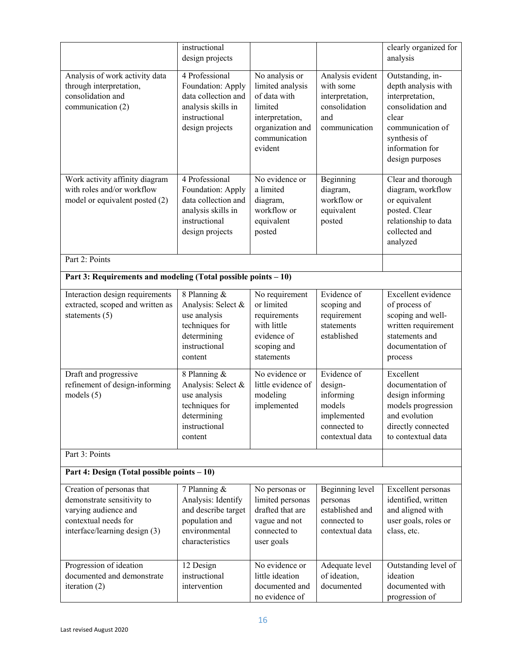|                                                                                                                                          | instructional<br>design projects                                                                                     |                                                                                                                                  |                                                                                                 | clearly organized for<br>analysis                                                                                                                                  |
|------------------------------------------------------------------------------------------------------------------------------------------|----------------------------------------------------------------------------------------------------------------------|----------------------------------------------------------------------------------------------------------------------------------|-------------------------------------------------------------------------------------------------|--------------------------------------------------------------------------------------------------------------------------------------------------------------------|
| Analysis of work activity data<br>through interpretation,<br>consolidation and<br>communication (2)                                      | 4 Professional<br>Foundation: Apply<br>data collection and<br>analysis skills in<br>instructional<br>design projects | No analysis or<br>limited analysis<br>of data with<br>limited<br>interpretation,<br>organization and<br>communication<br>evident | Analysis evident<br>with some<br>interpretation,<br>consolidation<br>and<br>communication       | Outstanding, in-<br>depth analysis with<br>interpretation,<br>consolidation and<br>clear<br>communication of<br>synthesis of<br>information for<br>design purposes |
| Work activity affinity diagram<br>with roles and/or workflow<br>model or equivalent posted (2)                                           | 4 Professional<br>Foundation: Apply<br>data collection and<br>analysis skills in<br>instructional<br>design projects | No evidence or<br>a limited<br>diagram,<br>workflow or<br>equivalent<br>posted                                                   | Beginning<br>diagram,<br>workflow or<br>equivalent<br>posted                                    | Clear and thorough<br>diagram, workflow<br>or equivalent<br>posted. Clear<br>relationship to data<br>collected and<br>analyzed                                     |
| Part 2: Points                                                                                                                           |                                                                                                                      |                                                                                                                                  |                                                                                                 |                                                                                                                                                                    |
| Part 3: Requirements and modeling (Total possible points - 10)                                                                           |                                                                                                                      |                                                                                                                                  |                                                                                                 |                                                                                                                                                                    |
| Interaction design requirements<br>extracted, scoped and written as<br>statements $(5)$                                                  | 8 Planning &<br>Analysis: Select &<br>use analysis<br>techniques for<br>determining<br>instructional<br>content      | No requirement<br>or limited<br>requirements<br>with little<br>evidence of<br>scoping and<br>statements                          | Evidence of<br>scoping and<br>requirement<br>statements<br>established                          | Excellent evidence<br>of process of<br>scoping and well-<br>written requirement<br>statements and<br>documentation of<br>process                                   |
| Draft and progressive<br>refinement of design-informing<br>models $(5)$                                                                  | 8 Planning &<br>Analysis: Select &<br>use analysis<br>techniques for<br>determining<br>instructional<br>content      | No evidence or<br>little evidence of<br>modeling<br>implemented                                                                  | Evidence of<br>design-<br>informing<br>models<br>implemented<br>connected to<br>contextual data | Excellent<br>documentation of<br>design informing<br>models progression<br>and evolution<br>directly connected<br>to contextual data                               |
| Part 3: Points                                                                                                                           |                                                                                                                      |                                                                                                                                  |                                                                                                 |                                                                                                                                                                    |
| Part 4: Design (Total possible points - 10)                                                                                              |                                                                                                                      |                                                                                                                                  |                                                                                                 |                                                                                                                                                                    |
| Creation of personas that<br>demonstrate sensitivity to<br>varying audience and<br>contextual needs for<br>interface/learning design (3) | 7 Planning &<br>Analysis: Identify<br>and describe target<br>population and<br>environmental<br>characteristics      | No personas or<br>limited personas<br>drafted that are<br>vague and not<br>connected to<br>user goals                            | Beginning level<br>personas<br>established and<br>connected to<br>contextual data               | Excellent personas<br>identified, written<br>and aligned with<br>user goals, roles or<br>class, etc.                                                               |
| Progression of ideation<br>documented and demonstrate<br>iteration (2)                                                                   | 12 Design<br>instructional<br>intervention                                                                           | No evidence or<br>little ideation<br>documented and<br>no evidence of                                                            | Adequate level<br>of ideation,<br>documented                                                    | Outstanding level of<br>ideation<br>documented with<br>progression of                                                                                              |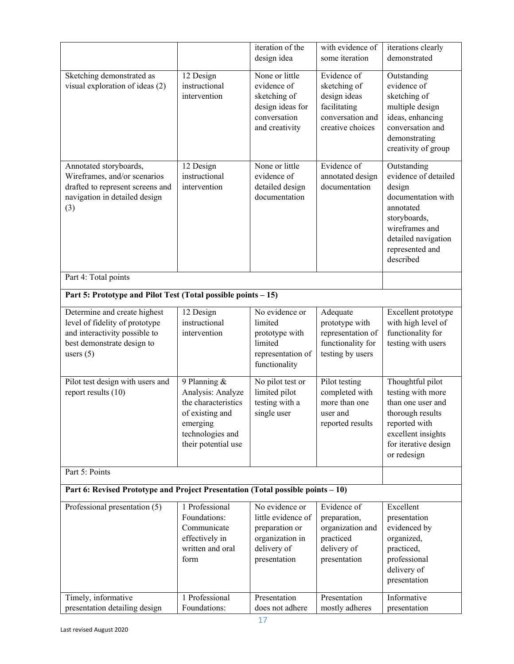|                                                                                 |                     | iteration of the   | with evidence of  |                                    |  |  |  |
|---------------------------------------------------------------------------------|---------------------|--------------------|-------------------|------------------------------------|--|--|--|
|                                                                                 |                     | design idea        | some iteration    | iterations clearly<br>demonstrated |  |  |  |
|                                                                                 |                     |                    |                   |                                    |  |  |  |
| Sketching demonstrated as                                                       | 12 Design           | None or little     | Evidence of       | Outstanding                        |  |  |  |
| visual exploration of ideas (2)                                                 | instructional       | evidence of        | sketching of      | evidence of                        |  |  |  |
|                                                                                 | intervention        | sketching of       | design ideas      | sketching of                       |  |  |  |
|                                                                                 |                     | design ideas for   | facilitating      | multiple design                    |  |  |  |
|                                                                                 |                     | conversation       | conversation and  | ideas, enhancing                   |  |  |  |
|                                                                                 |                     | and creativity     | creative choices  | conversation and                   |  |  |  |
|                                                                                 |                     |                    |                   | demonstrating                      |  |  |  |
|                                                                                 |                     |                    |                   | creativity of group                |  |  |  |
| Annotated storyboards,                                                          | 12 Design           | None or little     | Evidence of       | Outstanding                        |  |  |  |
| Wireframes, and/or scenarios                                                    | instructional       | evidence of        | annotated design  | evidence of detailed               |  |  |  |
| drafted to represent screens and                                                | intervention        | detailed design    | documentation     | design                             |  |  |  |
| navigation in detailed design                                                   |                     | documentation      |                   | documentation with                 |  |  |  |
| (3)                                                                             |                     |                    |                   | annotated                          |  |  |  |
|                                                                                 |                     |                    |                   | storyboards,                       |  |  |  |
|                                                                                 |                     |                    |                   | wireframes and                     |  |  |  |
|                                                                                 |                     |                    |                   | detailed navigation                |  |  |  |
|                                                                                 |                     |                    |                   | represented and                    |  |  |  |
|                                                                                 |                     |                    |                   | described                          |  |  |  |
| Part 4: Total points                                                            |                     |                    |                   |                                    |  |  |  |
| Part 5: Prototype and Pilot Test (Total possible points - 15)                   |                     |                    |                   |                                    |  |  |  |
| Determine and create highest                                                    | 12 Design           | No evidence or     | Adequate          | Excellent prototype                |  |  |  |
| level of fidelity of prototype                                                  | instructional       | limited            | prototype with    | with high level of                 |  |  |  |
| and interactivity possible to                                                   | intervention        | prototype with     | representation of | functionality for                  |  |  |  |
| best demonstrate design to                                                      |                     | limited            | functionality for | testing with users                 |  |  |  |
| users $(5)$                                                                     |                     | representation of  | testing by users  |                                    |  |  |  |
|                                                                                 |                     | functionality      |                   |                                    |  |  |  |
| Pilot test design with users and                                                | 9 Planning &        | No pilot test or   | Pilot testing     | Thoughtful pilot                   |  |  |  |
| report results (10)                                                             | Analysis: Analyze   | limited pilot      | completed with    | testing with more                  |  |  |  |
|                                                                                 | the characteristics | testing with a     | more than one     | than one user and                  |  |  |  |
|                                                                                 | of existing and     | single user        | user and          | thorough results                   |  |  |  |
|                                                                                 | emerging            |                    | reported results  | reported with                      |  |  |  |
|                                                                                 | technologies and    |                    |                   | excellent insights                 |  |  |  |
|                                                                                 | their potential use |                    |                   | for iterative design               |  |  |  |
|                                                                                 |                     |                    |                   | or redesign                        |  |  |  |
| Part 5: Points                                                                  |                     |                    |                   |                                    |  |  |  |
| Part 6: Revised Prototype and Project Presentation (Total possible points – 10) |                     |                    |                   |                                    |  |  |  |
| Professional presentation (5)                                                   | 1 Professional      | No evidence or     | Evidence of       | Excellent                          |  |  |  |
|                                                                                 | Foundations:        | little evidence of | preparation,      | presentation                       |  |  |  |
|                                                                                 | Communicate         | preparation or     | organization and  | evidenced by                       |  |  |  |
|                                                                                 | effectively in      | organization in    | practiced         | organized,                         |  |  |  |
|                                                                                 | written and oral    | delivery of        | delivery of       | practiced,                         |  |  |  |
|                                                                                 | form                | presentation       | presentation      | professional                       |  |  |  |
|                                                                                 |                     |                    |                   | delivery of                        |  |  |  |
|                                                                                 |                     |                    |                   | presentation                       |  |  |  |
| Timely, informative                                                             | 1 Professional      | Presentation       | Presentation      | Informative                        |  |  |  |
| presentation detailing design                                                   | Foundations:        | does not adhere    | mostly adheres    | presentation                       |  |  |  |